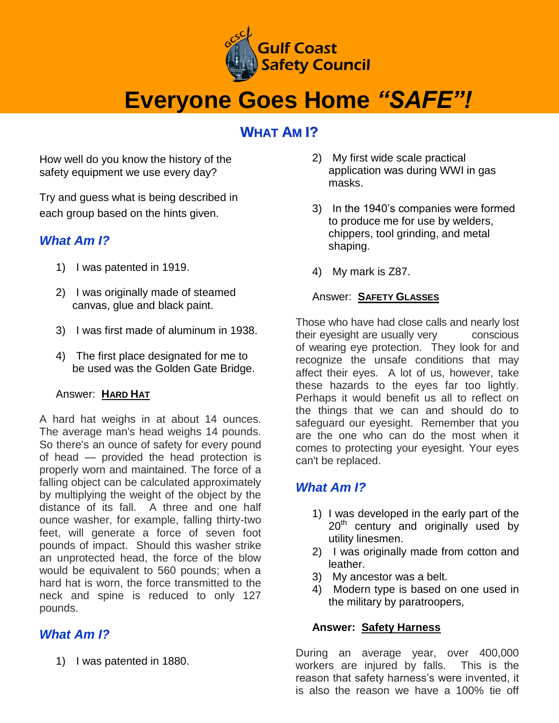

## **Everyone Goes Home** *"SAFE"!*

## **WHAT AM I?**

How well do you know the history of the safety equipment we use every day?

Try and guess what is being described in each group based on the hints given.

#### *What Am I?*

- 1) I was patented in 1919.
- 2) I was originally made of steamed canvas, glue and black paint.
- 3) I was first made of aluminum in 1938.
- 4) The first place designated for me to be used was the Golden Gate Bridge.

#### Answer: **HARD HAT**

A hard hat weighs in at about 14 ounces. The average man's head weighs 14 pounds. So there's an ounce of safety for every pound of head — provided the head protection is properly worn and maintained. The force of a falling object can be calculated approximately by multiplying the weight of the object by the distance of its fall. A three and one half ounce washer, for example, falling thirty-two feet, will generate a force of seven foot pounds of impact. Should this washer strike an unprotected head, the force of the blow would be equivalent to 560 pounds; when a hard hat is worn, the force transmitted to the neck and spine is reduced to only 127 pounds.

## *What Am I?*

1) I was patented in 1880.

- 2) My first wide scale practical application was during WWI in gas masks.
- 3) In the 1940's companies were formed to produce me for use by welders, chippers, tool grinding, and metal shaping.
- 4) My mark is Z87.

#### Answer: **SAFETY GLASSES**

Those who have had close calls and nearly lost their eyesight are usually very conscious of wearing eye protection. They look for and recognize the unsafe conditions that may affect their eyes. A lot of us, however, take these hazards to the eyes far too lightly. Perhaps it would benefit us all to reflect on the things that we can and should do to safeguard our eyesight. Remember that you are the one who can do the most when it comes to protecting your eyesight. Your eyes can't be replaced.

## *What Am I?*

- 1) I was developed in the early part of the  $20<sup>th</sup>$  century and originally used by utility linesmen.
- 2) I was originally made from cotton and leather.
- 3) My ancestor was a belt.
- 4) Modern type is based on one used in the military by paratroopers,

#### **Answer: Safety Harness**

During an average year, over 400,000 workers are injured by falls. This is the reason that safety harness's were invented, it is also the reason we have a 100% tie off